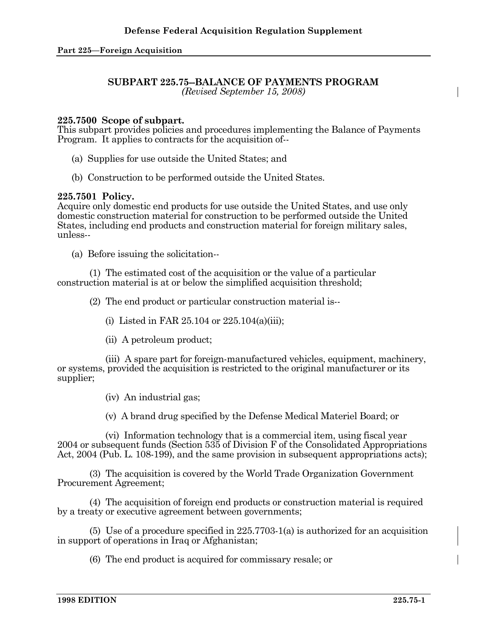# **SUBPART 225.75--BALANCE OF PAYMENTS PROGRAM**

*(Revised September 15, 2008)* 

# **225.7500 Scope of subpart.**

This subpart provides policies and procedures implementing the Balance of Payments Program. It applies to contracts for the acquisition of--

- (a) Supplies for use outside the United States; and
- (b) Construction to be performed outside the United States.

### **225.7501 Policy.**

Acquire only domestic end products for use outside the United States, and use only domestic construction material for construction to be performed outside the United States, including end products and construction material for foreign military sales, unless--

(a) Before issuing the solicitation--

 (1) The estimated cost of the acquisition or the value of a particular construction material is at or below the simplified acquisition threshold;

(2) The end product or particular construction material is--

(i) Listed in FAR  $25.104$  or  $225.104(a)(iii)$ ;

(ii) A petroleum product;

 (iii) A spare part for foreign-manufactured vehicles, equipment, machinery, or systems, provided the acquisition is restricted to the original manufacturer or its supplier;

(iv) An industrial gas;

(v) A brand drug specified by the Defense Medical Materiel Board; or

 (vi) Information technology that is a commercial item, using fiscal year 2004 or subsequent funds (Section 535 of Division F of the Consolidated Appropriations Act, 2004 (Pub. L. 108-199), and the same provision in subsequent appropriations acts);

 (3) The acquisition is covered by the World Trade Organization Government Procurement Agreement;

 (4) The acquisition of foreign end products or construction material is required by a treaty or executive agreement between governments;

 (5) Use of a procedure specified in 225.7703-1(a) is authorized for an acquisition in support of operations in Iraq or Afghanistan;

(6) The end product is acquired for commissary resale; or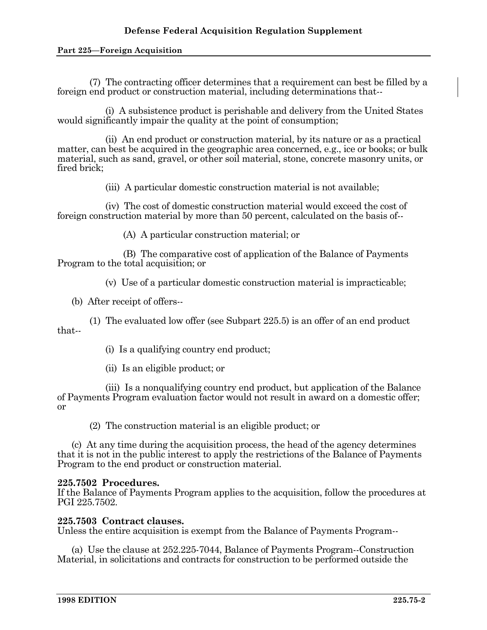### **Part 225—Foreign Acquisition**

 (7) The contracting officer determines that a requirement can best be filled by a foreign end product or construction material, including determinations that--

 (i) A subsistence product is perishable and delivery from the United States would significantly impair the quality at the point of consumption;

 (ii) An end product or construction material, by its nature or as a practical matter, can best be acquired in the geographic area concerned, e.g., ice or books; or bulk material, such as sand, gravel, or other soil material, stone, concrete masonry units, or fired brick;

(iii) A particular domestic construction material is not available;

 (iv) The cost of domestic construction material would exceed the cost of foreign construction material by more than 50 percent, calculated on the basis of--

(A) A particular construction material; or

 (B) The comparative cost of application of the Balance of Payments Program to the total acquisition; or

(v) Use of a particular domestic construction material is impracticable;

(b) After receipt of offers--

 (1) The evaluated low offer (see Subpart 225.5) is an offer of an end product that--

(i) Is a qualifying country end product;

(ii) Is an eligible product; or

 (iii) Is a nonqualifying country end product, but application of the Balance of Payments Program evaluation factor would not result in award on a domestic offer; or

(2) The construction material is an eligible product; or

 (c) At any time during the acquisition process, the head of the agency determines that it is not in the public interest to apply the restrictions of the Balance of Payments Program to the end product or construction material.

# **225.7502 Procedures.**

If the Balance of Payments Program applies to the acquisition, follow the procedures at PGI 225.7502.

# **225.7503 Contract clauses.**

Unless the entire acquisition is exempt from the Balance of Payments Program--

 (a) Use the clause at 252.225-7044, Balance of Payments Program--Construction Material, in solicitations and contracts for construction to be performed outside the